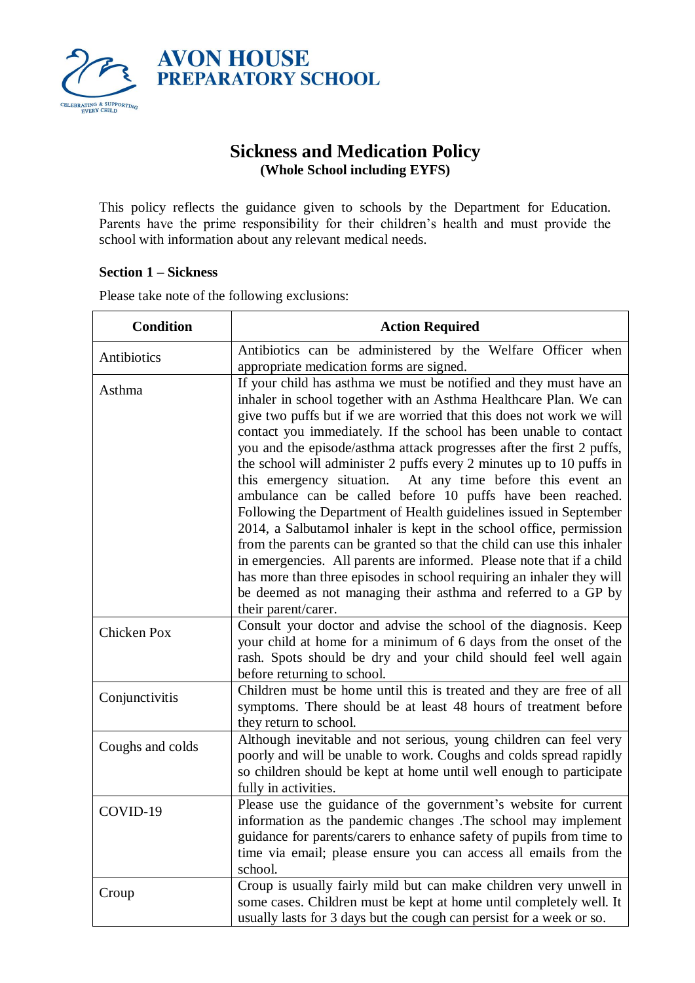

# **Sickness and Medication Policy (Whole School including EYFS)**

This policy reflects the guidance given to schools by the Department for Education. Parents have the prime responsibility for their children's health and must provide the school with information about any relevant medical needs.

### **Section 1 – Sickness**

Please take note of the following exclusions:

| <b>Condition</b> | <b>Action Required</b>                                                                                                                                                                                                                                                                                                                                                                                                                                                                                                                                                                                                                 |
|------------------|----------------------------------------------------------------------------------------------------------------------------------------------------------------------------------------------------------------------------------------------------------------------------------------------------------------------------------------------------------------------------------------------------------------------------------------------------------------------------------------------------------------------------------------------------------------------------------------------------------------------------------------|
| Antibiotics      | Antibiotics can be administered by the Welfare Officer when<br>appropriate medication forms are signed.                                                                                                                                                                                                                                                                                                                                                                                                                                                                                                                                |
| Asthma           | If your child has asthma we must be notified and they must have an<br>inhaler in school together with an Asthma Healthcare Plan. We can<br>give two puffs but if we are worried that this does not work we will<br>contact you immediately. If the school has been unable to contact<br>you and the episode/asthma attack progresses after the first 2 puffs,<br>the school will administer 2 puffs every 2 minutes up to 10 puffs in<br>this emergency situation. At any time before this event an<br>ambulance can be called before 10 puffs have been reached.<br>Following the Department of Health guidelines issued in September |
|                  | 2014, a Salbutamol inhaler is kept in the school office, permission<br>from the parents can be granted so that the child can use this inhaler<br>in emergencies. All parents are informed. Please note that if a child<br>has more than three episodes in school requiring an inhaler they will<br>be deemed as not managing their asthma and referred to a GP by<br>their parent/carer.                                                                                                                                                                                                                                               |
| Chicken Pox      | Consult your doctor and advise the school of the diagnosis. Keep<br>your child at home for a minimum of 6 days from the onset of the<br>rash. Spots should be dry and your child should feel well again<br>before returning to school.                                                                                                                                                                                                                                                                                                                                                                                                 |
| Conjunctivitis   | Children must be home until this is treated and they are free of all<br>symptoms. There should be at least 48 hours of treatment before<br>they return to school.                                                                                                                                                                                                                                                                                                                                                                                                                                                                      |
| Coughs and colds | Although inevitable and not serious, young children can feel very<br>poorly and will be unable to work. Coughs and colds spread rapidly<br>so children should be kept at home until well enough to participate<br>fully in activities.                                                                                                                                                                                                                                                                                                                                                                                                 |
| COVID-19         | Please use the guidance of the government's website for current<br>information as the pandemic changes. The school may implement<br>guidance for parents/carers to enhance safety of pupils from time to<br>time via email; please ensure you can access all emails from the<br>school.                                                                                                                                                                                                                                                                                                                                                |
| Croup            | Croup is usually fairly mild but can make children very unwell in<br>some cases. Children must be kept at home until completely well. It<br>usually lasts for 3 days but the cough can persist for a week or so.                                                                                                                                                                                                                                                                                                                                                                                                                       |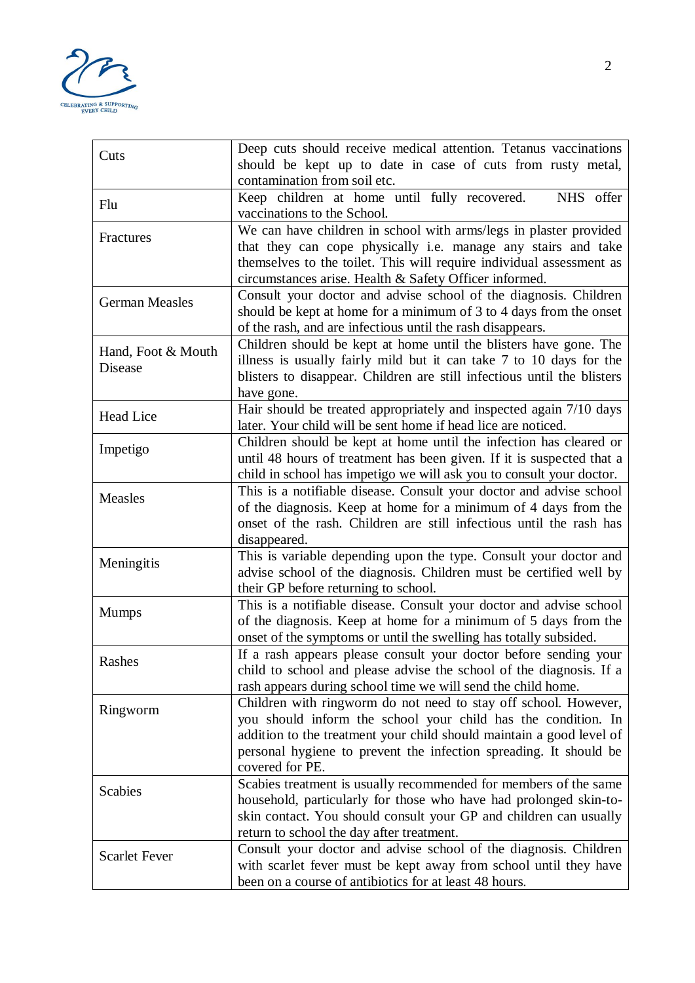

| Cuts                          | Deep cuts should receive medical attention. Tetanus vaccinations<br>should be kept up to date in case of cuts from rusty metal,<br>contamination from soil etc.                                                                                                                                  |
|-------------------------------|--------------------------------------------------------------------------------------------------------------------------------------------------------------------------------------------------------------------------------------------------------------------------------------------------|
| Flu                           | Keep children at home until fully recovered.<br>NHS offer<br>vaccinations to the School.                                                                                                                                                                                                         |
| Fractures                     | We can have children in school with arms/legs in plaster provided<br>that they can cope physically i.e. manage any stairs and take<br>themselves to the toilet. This will require individual assessment as<br>circumstances arise. Health & Safety Officer informed.                             |
| <b>German Measles</b>         | Consult your doctor and advise school of the diagnosis. Children<br>should be kept at home for a minimum of 3 to 4 days from the onset<br>of the rash, and are infectious until the rash disappears.                                                                                             |
| Hand, Foot & Mouth<br>Disease | Children should be kept at home until the blisters have gone. The<br>illness is usually fairly mild but it can take 7 to 10 days for the<br>blisters to disappear. Children are still infectious until the blisters<br>have gone.                                                                |
| Head Lice                     | Hair should be treated appropriately and inspected again 7/10 days<br>later. Your child will be sent home if head lice are noticed.                                                                                                                                                              |
| Impetigo                      | Children should be kept at home until the infection has cleared or<br>until 48 hours of treatment has been given. If it is suspected that a<br>child in school has impetigo we will ask you to consult your doctor.                                                                              |
| Measles                       | This is a notifiable disease. Consult your doctor and advise school<br>of the diagnosis. Keep at home for a minimum of 4 days from the<br>onset of the rash. Children are still infectious until the rash has<br>disappeared.                                                                    |
| Meningitis                    | This is variable depending upon the type. Consult your doctor and<br>advise school of the diagnosis. Children must be certified well by<br>their GP before returning to school.                                                                                                                  |
| <b>Mumps</b>                  | This is a notifiable disease. Consult your doctor and advise school<br>of the diagnosis. Keep at home for a minimum of 5 days from the<br>onset of the symptoms or until the swelling has totally subsided.                                                                                      |
| Rashes                        | If a rash appears please consult your doctor before sending your<br>child to school and please advise the school of the diagnosis. If a<br>rash appears during school time we will send the child home.                                                                                          |
| Ringworm                      | Children with ringworm do not need to stay off school. However,<br>you should inform the school your child has the condition. In<br>addition to the treatment your child should maintain a good level of<br>personal hygiene to prevent the infection spreading. It should be<br>covered for PE. |
| <b>Scabies</b>                | Scabies treatment is usually recommended for members of the same<br>household, particularly for those who have had prolonged skin-to-<br>skin contact. You should consult your GP and children can usually<br>return to school the day after treatment.                                          |
| <b>Scarlet Fever</b>          | Consult your doctor and advise school of the diagnosis. Children<br>with scarlet fever must be kept away from school until they have<br>been on a course of antibiotics for at least 48 hours.                                                                                                   |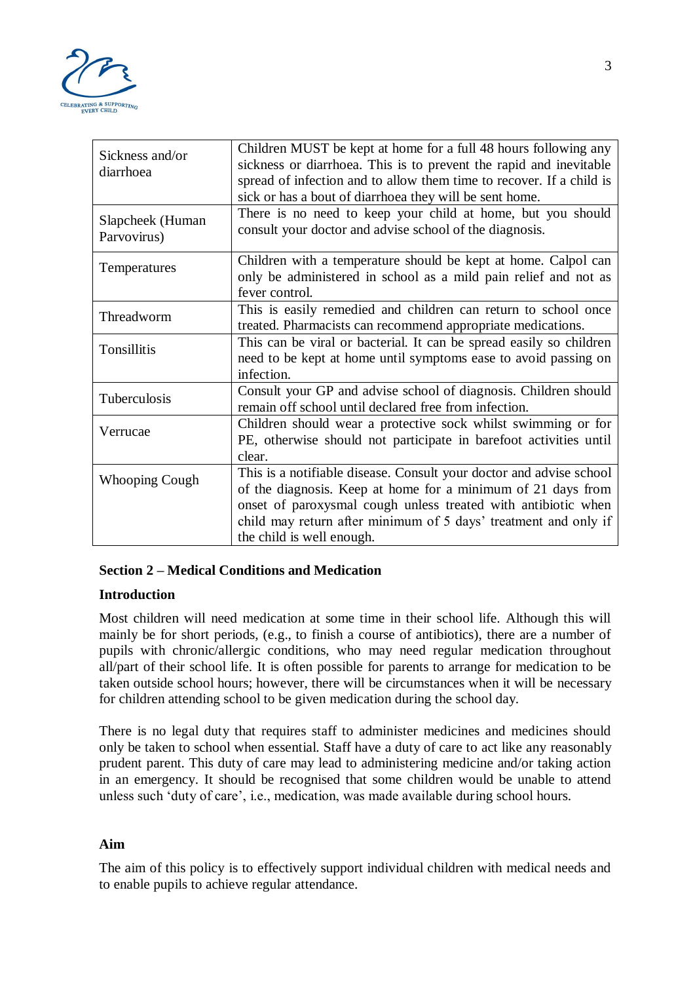

| Sickness and/or<br>diarrhoea    | Children MUST be kept at home for a full 48 hours following any<br>sickness or diarrhoea. This is to prevent the rapid and inevitable<br>spread of infection and to allow them time to recover. If a child is<br>sick or has a bout of diarrhoea they will be sent home.                             |
|---------------------------------|------------------------------------------------------------------------------------------------------------------------------------------------------------------------------------------------------------------------------------------------------------------------------------------------------|
| Slapcheek (Human<br>Parvovirus) | There is no need to keep your child at home, but you should<br>consult your doctor and advise school of the diagnosis.                                                                                                                                                                               |
| Temperatures                    | Children with a temperature should be kept at home. Calpol can<br>only be administered in school as a mild pain relief and not as<br>fever control.                                                                                                                                                  |
| Threadworm                      | This is easily remedied and children can return to school once<br>treated. Pharmacists can recommend appropriate medications.                                                                                                                                                                        |
| Tonsillitis                     | This can be viral or bacterial. It can be spread easily so children<br>need to be kept at home until symptoms ease to avoid passing on<br>infection.                                                                                                                                                 |
| Tuberculosis                    | Consult your GP and advise school of diagnosis. Children should<br>remain off school until declared free from infection.                                                                                                                                                                             |
| Verrucae                        | Children should wear a protective sock whilst swimming or for<br>PE, otherwise should not participate in barefoot activities until<br>clear.                                                                                                                                                         |
| <b>Whooping Cough</b>           | This is a notifiable disease. Consult your doctor and advise school<br>of the diagnosis. Keep at home for a minimum of 21 days from<br>onset of paroxysmal cough unless treated with antibiotic when<br>child may return after minimum of 5 days' treatment and only if<br>the child is well enough. |

### **Section 2 – Medical Conditions and Medication**

## **Introduction**

Most children will need medication at some time in their school life. Although this will mainly be for short periods, (e.g., to finish a course of antibiotics), there are a number of pupils with chronic/allergic conditions, who may need regular medication throughout all/part of their school life. It is often possible for parents to arrange for medication to be taken outside school hours; however, there will be circumstances when it will be necessary for children attending school to be given medication during the school day.

There is no legal duty that requires staff to administer medicines and medicines should only be taken to school when essential. Staff have a duty of care to act like any reasonably prudent parent. This duty of care may lead to administering medicine and/or taking action in an emergency. It should be recognised that some children would be unable to attend unless such 'duty of care', i.e., medication, was made available during school hours.

### **Aim**

The aim of this policy is to effectively support individual children with medical needs and to enable pupils to achieve regular attendance.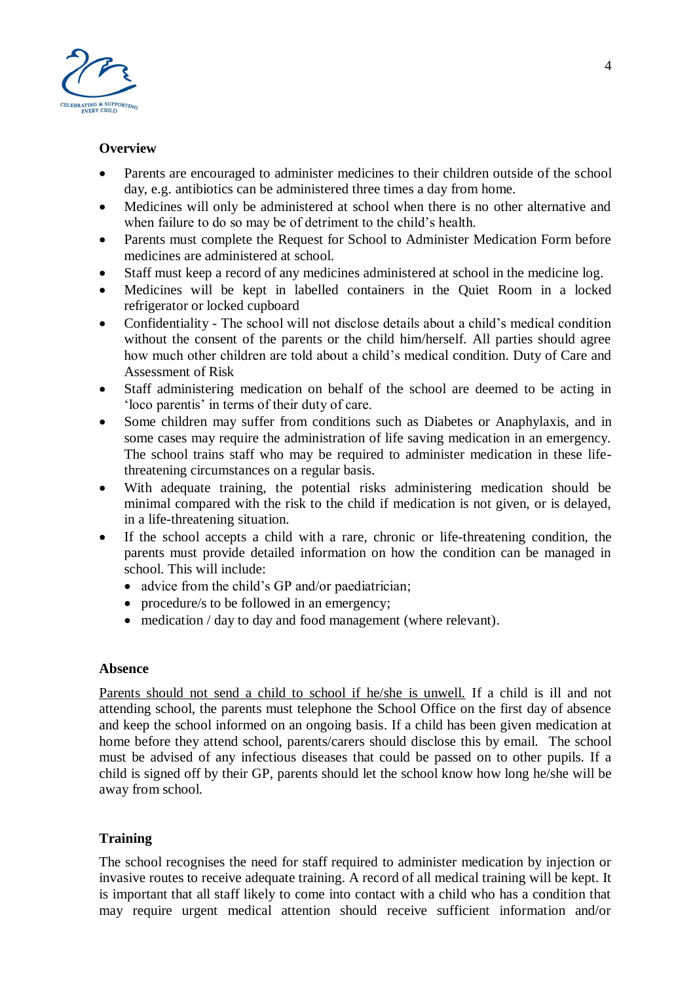

## **Overview**

- Parents are encouraged to administer medicines to their children outside of the school day, e.g. antibiotics can be administered three times a day from home.
- Medicines will only be administered at school when there is no other alternative and when failure to do so may be of detriment to the child's health.
- Parents must complete the Request for School to Administer Medication Form before medicines are administered at school.
- Staff must keep a record of any medicines administered at school in the medicine log.
- Medicines will be kept in labelled containers in the Quiet Room in a locked refrigerator or locked cupboard
- Confidentiality The school will not disclose details about a child's medical condition without the consent of the parents or the child him/herself. All parties should agree how much other children are told about a child's medical condition. Duty of Care and Assessment of Risk
- Staff administering medication on behalf of the school are deemed to be acting in 'loco parentis' in terms of their duty of care.
- Some children may suffer from conditions such as Diabetes or Anaphylaxis, and in some cases may require the administration of life saving medication in an emergency. The school trains staff who may be required to administer medication in these lifethreatening circumstances on a regular basis.
- With adequate training, the potential risks administering medication should be minimal compared with the risk to the child if medication is not given, or is delayed, in a life-threatening situation.
- If the school accepts a child with a rare, chronic or life-threatening condition, the parents must provide detailed information on how the condition can be managed in school. This will include:
	- advice from the child's GP and/or paediatrician;
	- procedure/s to be followed in an emergency;
	- medication / day to day and food management (where relevant).

### **Absence**

Parents should not send a child to school if he/she is unwell. If a child is ill and not attending school, the parents must telephone the School Office on the first day of absence and keep the school informed on an ongoing basis. If a child has been given medication at home before they attend school, parents/carers should disclose this by email. The school must be advised of any infectious diseases that could be passed on to other pupils. If a child is signed off by their GP, parents should let the school know how long he/she will be away from school.

# **Training**

The school recognises the need for staff required to administer medication by injection or invasive routes to receive adequate training. A record of all medical training will be kept. It is important that all staff likely to come into contact with a child who has a condition that may require urgent medical attention should receive sufficient information and/or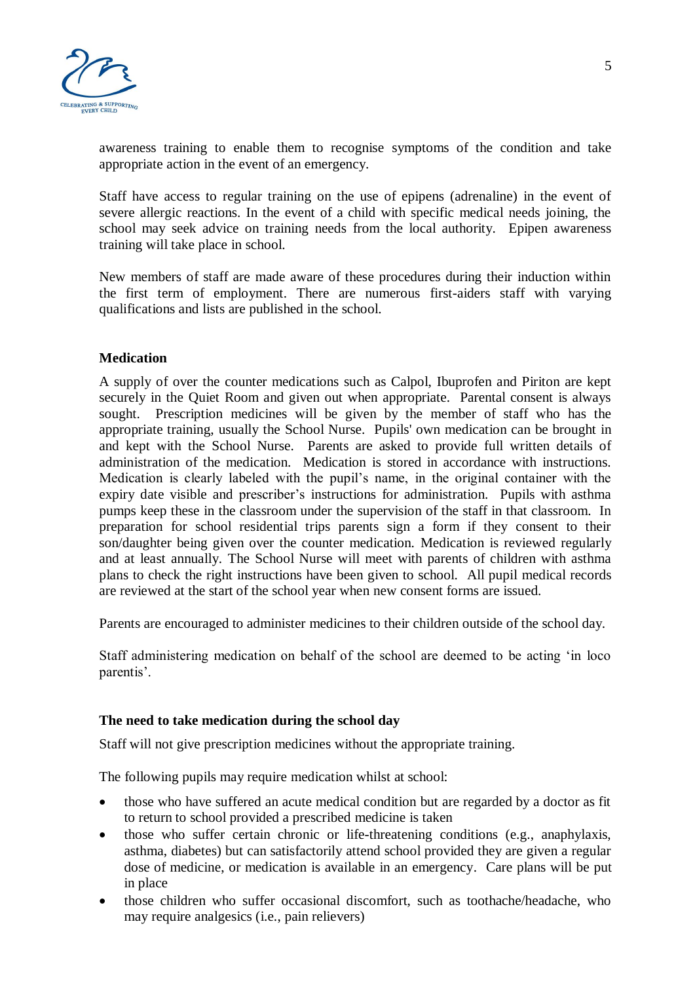

awareness training to enable them to recognise symptoms of the condition and take appropriate action in the event of an emergency.

Staff have access to regular training on the use of epipens (adrenaline) in the event of severe allergic reactions. In the event of a child with specific medical needs joining, the school may seek advice on training needs from the local authority. Epipen awareness training will take place in school.

New members of staff are made aware of these procedures during their induction within the first term of employment. There are numerous first-aiders staff with varying qualifications and lists are published in the school.

### **Medication**

A supply of over the counter medications such as Calpol, Ibuprofen and Piriton are kept securely in the Quiet Room and given out when appropriate. Parental consent is always sought. Prescription medicines will be given by the member of staff who has the appropriate training, usually the School Nurse. Pupils' own medication can be brought in and kept with the School Nurse. Parents are asked to provide full written details of administration of the medication. Medication is stored in accordance with instructions. Medication is clearly labeled with the pupil's name, in the original container with the expiry date visible and prescriber's instructions for administration. Pupils with asthma pumps keep these in the classroom under the supervision of the staff in that classroom. In preparation for school residential trips parents sign a form if they consent to their son/daughter being given over the counter medication. Medication is reviewed regularly and at least annually. The School Nurse will meet with parents of children with asthma plans to check the right instructions have been given to school. All pupil medical records are reviewed at the start of the school year when new consent forms are issued.

Parents are encouraged to administer medicines to their children outside of the school day.

Staff administering medication on behalf of the school are deemed to be acting 'in loco parentis'.

### **The need to take medication during the school day**

Staff will not give prescription medicines without the appropriate training.

The following pupils may require medication whilst at school:

- those who have suffered an acute medical condition but are regarded by a doctor as fit to return to school provided a prescribed medicine is taken
- those who suffer certain chronic or life-threatening conditions (e.g., anaphylaxis, asthma, diabetes) but can satisfactorily attend school provided they are given a regular dose of medicine, or medication is available in an emergency. Care plans will be put in place
- those children who suffer occasional discomfort, such as toothache/headache, who may require analgesics (i.e., pain relievers)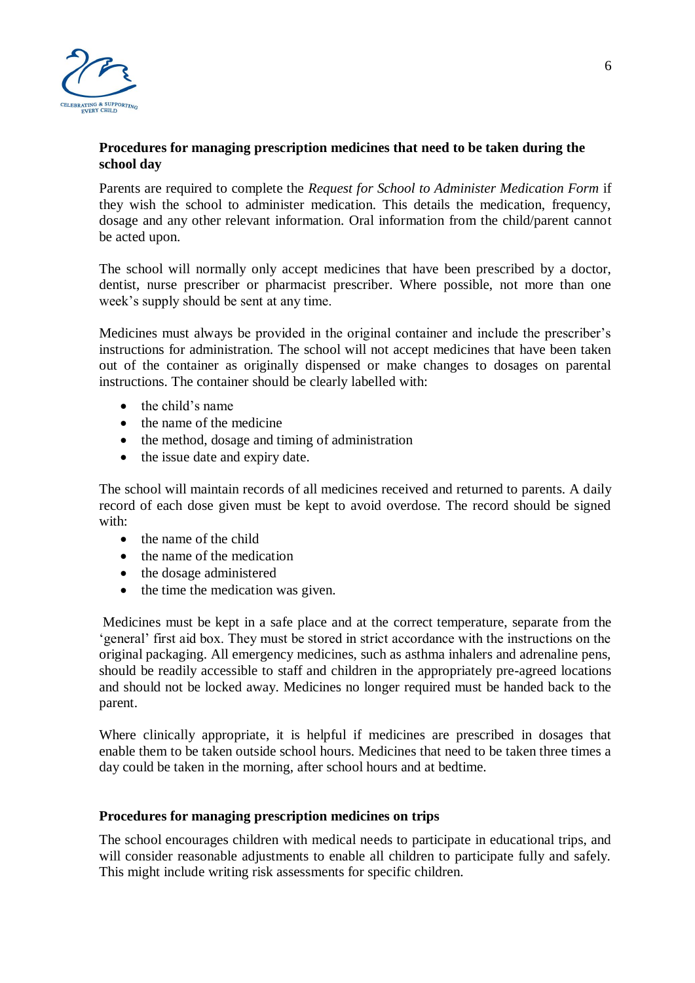

# **Procedures for managing prescription medicines that need to be taken during the school day**

Parents are required to complete the *Request for School to Administer Medication Form* if they wish the school to administer medication. This details the medication, frequency, dosage and any other relevant information. Oral information from the child/parent cannot be acted upon.

The school will normally only accept medicines that have been prescribed by a doctor, dentist, nurse prescriber or pharmacist prescriber. Where possible, not more than one week's supply should be sent at any time.

Medicines must always be provided in the original container and include the prescriber's instructions for administration. The school will not accept medicines that have been taken out of the container as originally dispensed or make changes to dosages on parental instructions. The container should be clearly labelled with:

- the child's name
- the name of the medicine
- the method, dosage and timing of administration
- the issue date and expiry date.

The school will maintain records of all medicines received and returned to parents. A daily record of each dose given must be kept to avoid overdose. The record should be signed with:

- the name of the child
- the name of the medication
- the dosage administered
- the time the medication was given.

Medicines must be kept in a safe place and at the correct temperature, separate from the 'general' first aid box. They must be stored in strict accordance with the instructions on the original packaging. All emergency medicines, such as asthma inhalers and adrenaline pens, should be readily accessible to staff and children in the appropriately pre-agreed locations and should not be locked away. Medicines no longer required must be handed back to the parent.

Where clinically appropriate, it is helpful if medicines are prescribed in dosages that enable them to be taken outside school hours. Medicines that need to be taken three times a day could be taken in the morning, after school hours and at bedtime.

### **Procedures for managing prescription medicines on trips**

The school encourages children with medical needs to participate in educational trips, and will consider reasonable adjustments to enable all children to participate fully and safely. This might include writing risk assessments for specific children.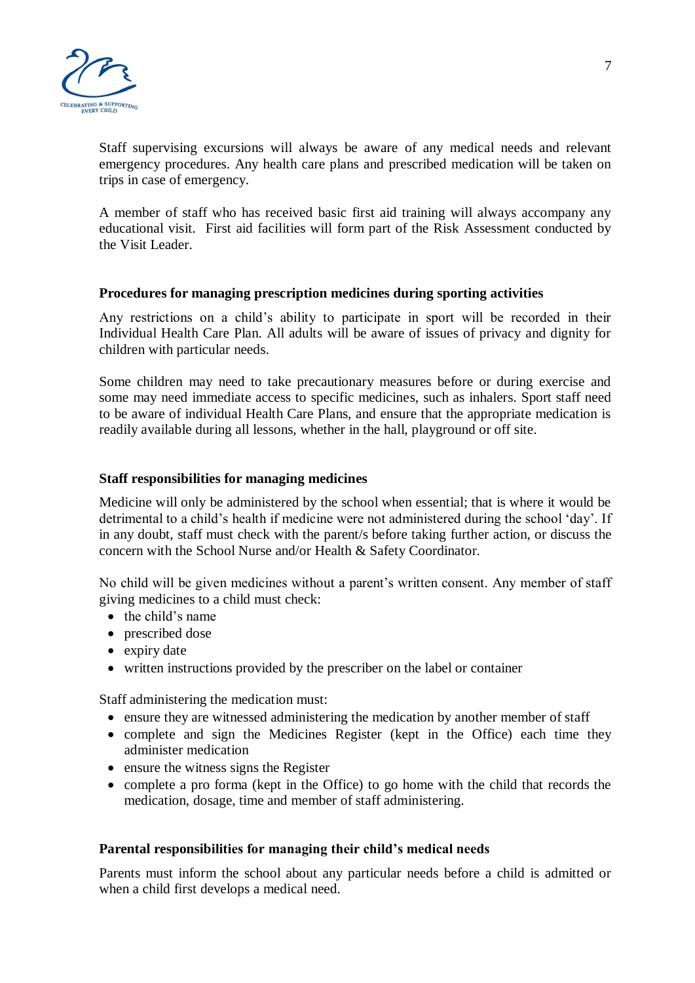

Staff supervising excursions will always be aware of any medical needs and relevant emergency procedures. Any health care plans and prescribed medication will be taken on trips in case of emergency.

A member of staff who has received basic first aid training will always accompany any educational visit. First aid facilities will form part of the Risk Assessment conducted by the Visit Leader.

#### **Procedures for managing prescription medicines during sporting activities**

Any restrictions on a child's ability to participate in sport will be recorded in their Individual Health Care Plan. All adults will be aware of issues of privacy and dignity for children with particular needs.

Some children may need to take precautionary measures before or during exercise and some may need immediate access to specific medicines, such as inhalers. Sport staff need to be aware of individual Health Care Plans, and ensure that the appropriate medication is readily available during all lessons, whether in the hall, playground or off site.

### **Staff responsibilities for managing medicines**

Medicine will only be administered by the school when essential; that is where it would be detrimental to a child's health if medicine were not administered during the school 'day'. If in any doubt, staff must check with the parent/s before taking further action, or discuss the concern with the School Nurse and/or Health & Safety Coordinator.

No child will be given medicines without a parent's written consent. Any member of staff giving medicines to a child must check:

- the child's name
- prescribed dose
- expiry date
- written instructions provided by the prescriber on the label or container

Staff administering the medication must:

- ensure they are witnessed administering the medication by another member of staff
- complete and sign the Medicines Register (kept in the Office) each time they administer medication
- ensure the witness signs the Register
- complete a pro forma (kept in the Office) to go home with the child that records the medication, dosage, time and member of staff administering.

#### **Parental responsibilities for managing their child's medical needs**

Parents must inform the school about any particular needs before a child is admitted or when a child first develops a medical need.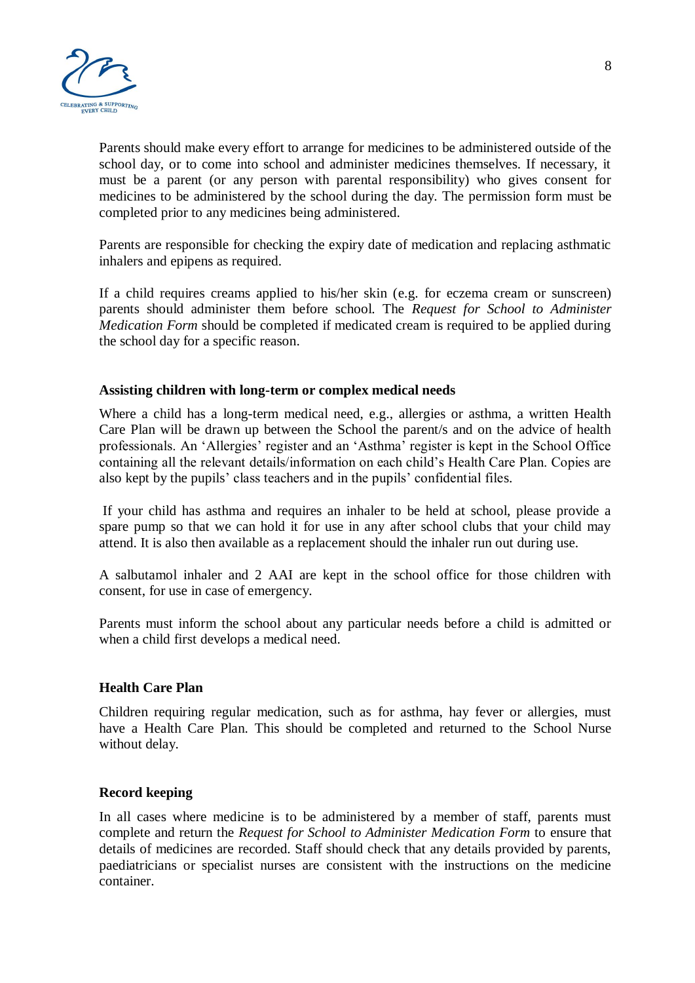

Parents should make every effort to arrange for medicines to be administered outside of the school day, or to come into school and administer medicines themselves. If necessary, it must be a parent (or any person with parental responsibility) who gives consent for medicines to be administered by the school during the day. The permission form must be completed prior to any medicines being administered.

Parents are responsible for checking the expiry date of medication and replacing asthmatic inhalers and epipens as required.

If a child requires creams applied to his/her skin (e.g. for eczema cream or sunscreen) parents should administer them before school. The *Request for School to Administer Medication Form* should be completed if medicated cream is required to be applied during the school day for a specific reason.

### **Assisting children with long-term or complex medical needs**

Where a child has a long-term medical need, e.g., allergies or asthma, a written Health Care Plan will be drawn up between the School the parent/s and on the advice of health professionals. An 'Allergies' register and an 'Asthma' register is kept in the School Office containing all the relevant details/information on each child's Health Care Plan. Copies are also kept by the pupils' class teachers and in the pupils' confidential files.

If your child has asthma and requires an inhaler to be held at school, please provide a spare pump so that we can hold it for use in any after school clubs that your child may attend. It is also then available as a replacement should the inhaler run out during use.

A salbutamol inhaler and 2 AAI are kept in the school office for those children with consent, for use in case of emergency.

Parents must inform the school about any particular needs before a child is admitted or when a child first develops a medical need.

### **Health Care Plan**

Children requiring regular medication, such as for asthma, hay fever or allergies, must have a Health Care Plan. This should be completed and returned to the School Nurse without delay.

### **Record keeping**

In all cases where medicine is to be administered by a member of staff, parents must complete and return the *Request for School to Administer Medication Form* to ensure that details of medicines are recorded. Staff should check that any details provided by parents, paediatricians or specialist nurses are consistent with the instructions on the medicine container.